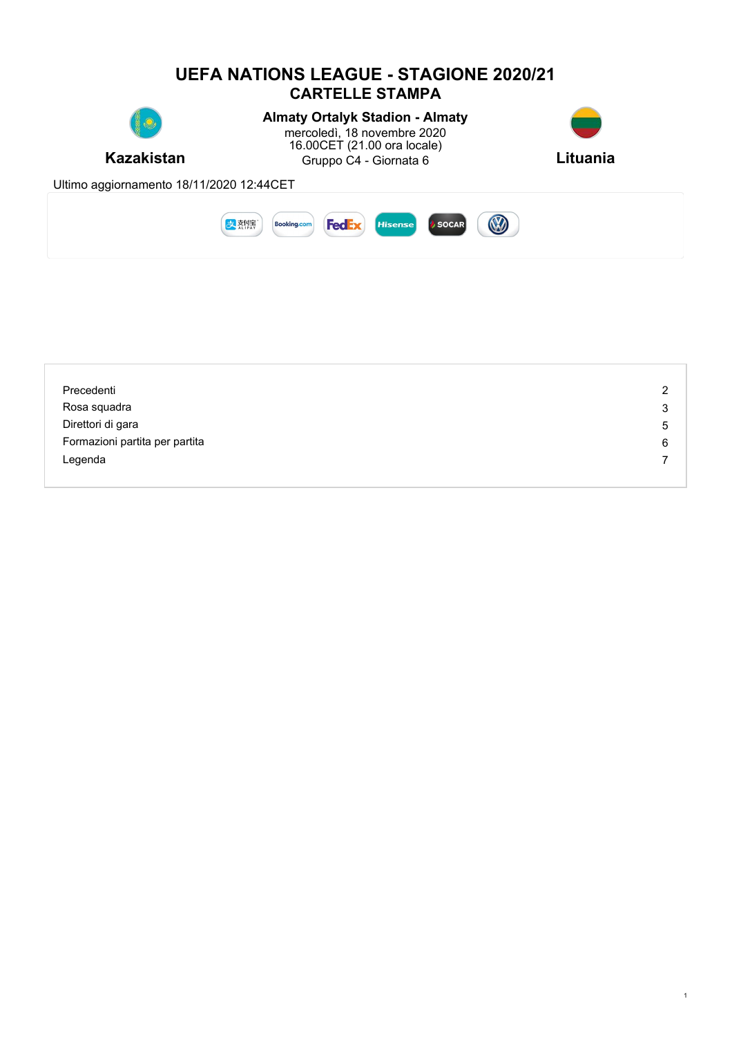

| Precedenti                     | 2 |
|--------------------------------|---|
| Rosa squadra                   | 3 |
| Direttori di gara              | 5 |
| Formazioni partita per partita | 6 |
| Legenda                        |   |
|                                |   |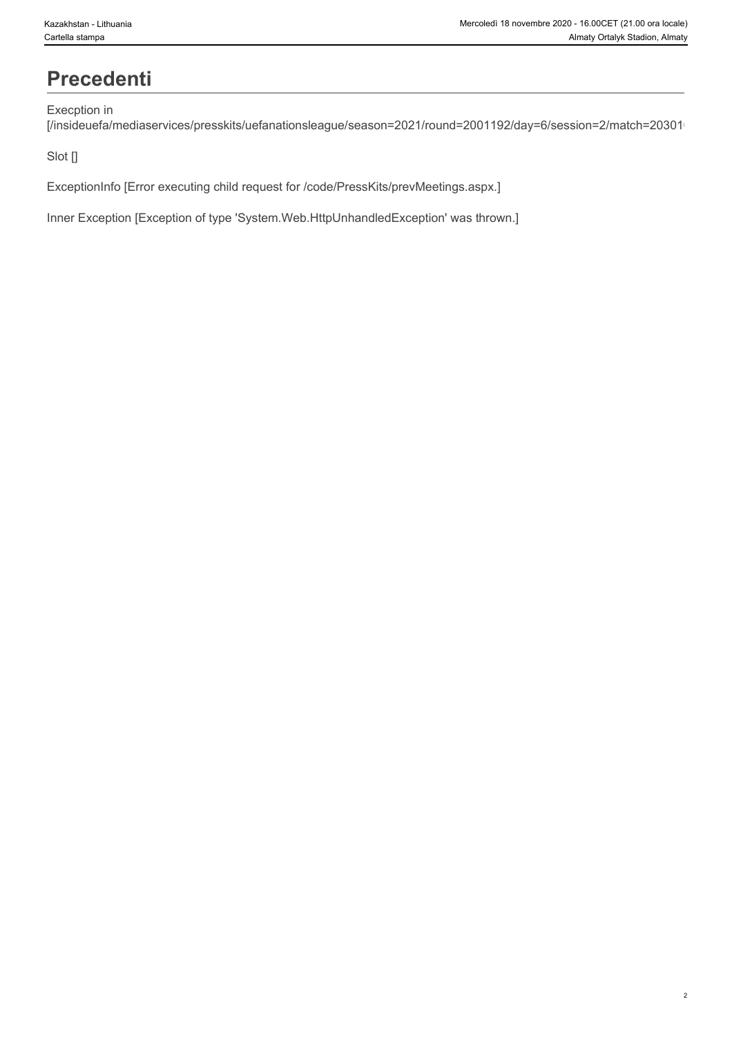### **Precedenti**

#### Execption in

[/insideuefa/mediaservices/presskits/uefanationsleague/season=2021/round=2001192/day=6/session=2/match=20301/

#### Slot []

ExceptionInfo [Error executing child request for /code/PressKits/prevMeetings.aspx.]

Inner Exception [Exception of type 'System.Web.HttpUnhandledException' was thrown.]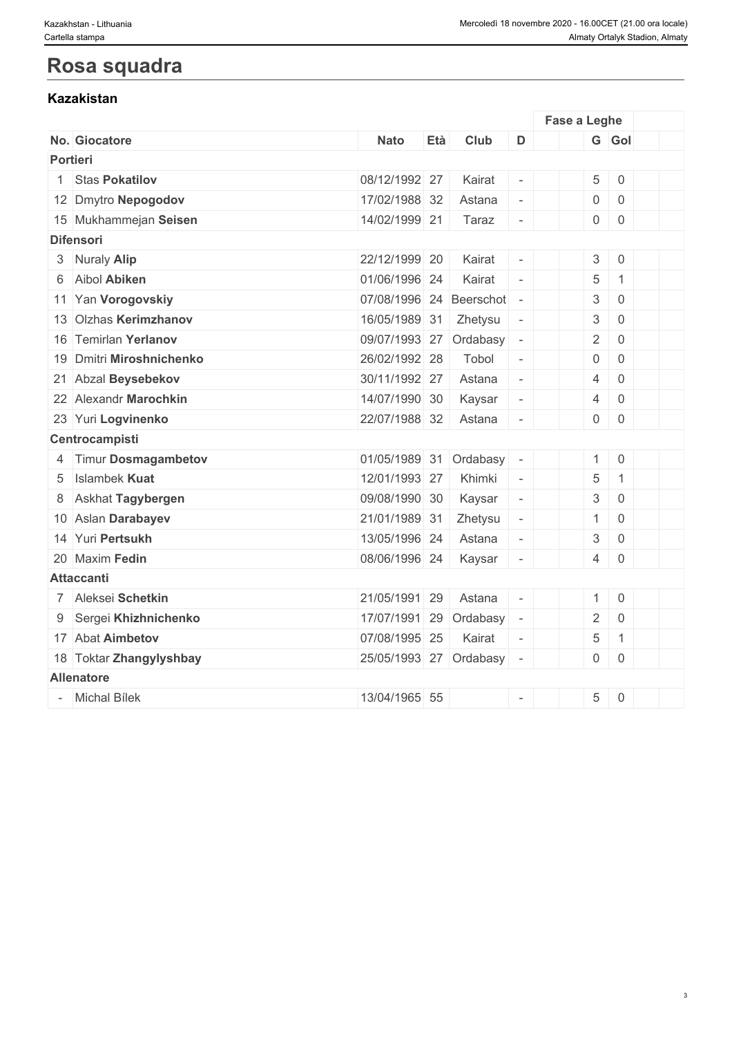### **Rosa squadra**

#### **Kazakistan**

|                          |                           |     |         |                          | Fase a Leghe |                                                                            |  |
|--------------------------|---------------------------|-----|---------|--------------------------|--------------|----------------------------------------------------------------------------|--|
| No. Giocatore            | <b>Nato</b>               | Età | Club    | D                        |              | G Gol                                                                      |  |
| <b>Portieri</b>          |                           |     |         |                          |              |                                                                            |  |
| 1 Stas Pokatilov         | 08/12/1992 27             |     | Kairat  | $\overline{\phantom{a}}$ |              | $5 \mid 0$                                                                 |  |
| 12 Dmytro Nepogodov      | 17/02/1988 32             |     | Astana  | $\blacksquare$           |              | 0<br>$\overline{0}$                                                        |  |
| 15 Mukhammejan Seisen    | 14/02/1999 21             |     | Taraz   | $\overline{\phantom{a}}$ |              | $0 \mid 0$                                                                 |  |
| <b>Difensori</b>         |                           |     |         |                          |              |                                                                            |  |
| 3 Nuraly Alip            | 22/12/1999 20             |     | Kairat  | $\overline{\phantom{a}}$ |              | 3 <sup>1</sup><br>$\overline{0}$                                           |  |
| 6 Aibol Abiken           | 01/06/1996 24             |     | Kairat  | $\bar{a}$                |              | 5<br>$\mathbf{1}$                                                          |  |
| 11 Yan Vorogovskiy       | 07/08/1996 24 Beerschot - |     |         |                          |              | 3<br>$\overline{0}$                                                        |  |
| 13 Olzhas Kerimzhanov    | 16/05/1989 31             |     | Zhetysu | $\overline{\phantom{a}}$ |              | 3<br>$\mathsf{O}\xspace$                                                   |  |
| 16 Temirlan Yerlanov     | 09/07/1993 27 Ordabasy -  |     |         |                          |              | $\overline{2}$<br>$\overline{0}$                                           |  |
| 19 Dmitri Miroshnichenko | 26/02/1992 28             |     | Tobol   | $\overline{\phantom{a}}$ |              | $\overline{0}$<br>$\overline{0}$                                           |  |
| 21 Abzal Beysebekov      | 30/11/1992 27             |     | Astana  | $\overline{\phantom{a}}$ |              | $\overline{4}$<br>$\mathsf{O}\xspace$                                      |  |
| 22 Alexandr Marochkin    | 14/07/1990 30             |     | Kaysar  | $\overline{\phantom{a}}$ |              | $\overline{4}$<br>$\overline{0}$                                           |  |
| 23 Yuri Logvinenko       | 22/07/1988 32             |     | Astana  | $\overline{\phantom{a}}$ |              | $0 \mid 0$                                                                 |  |
| Centrocampisti           |                           |     |         |                          |              |                                                                            |  |
| 4 Timur Dosmagambetov    | 01/05/1989 31 Ordabasy -  |     |         |                          |              | $1 \ 0$                                                                    |  |
| 5 Islambek Kuat          | 12/01/1993 27             |     | Khimki  | $\sim$                   |              | 5<br>$\mathbf{1}$                                                          |  |
| 8 Askhat Tagybergen      | 09/08/1990 30             |     | Kaysar  | $\overline{\phantom{a}}$ |              | 3<br>$\overline{0}$                                                        |  |
| 10 Aslan Darabayev       | 21/01/1989 31             |     | Zhetysu | $\overline{\phantom{a}}$ |              | $\overline{0}$<br>1                                                        |  |
| 14 Yuri Pertsukh         | 13/05/1996 24             |     | Astana  | $\overline{\phantom{a}}$ |              | 3<br>$\mathsf{O}\xspace$                                                   |  |
| 20 Maxim Fedin           | 08/06/1996 24             |     | Kaysar  | $\overline{\phantom{a}}$ |              | $4 \ 0$                                                                    |  |
| <b>Attaccanti</b>        |                           |     |         |                          |              |                                                                            |  |
| 7 Aleksei Schetkin       | 21/05/1991 29             |     | Astana  | $\sim$                   |              | $1 \ 0$                                                                    |  |
| 9 Sergei Khizhnichenko   | 17/07/1991 29 Ordabasy -  |     |         |                          |              | $\overline{2}$<br>$\mathsf 0$                                              |  |
| 17 Abat Aimbetov         | 07/08/1995 25             |     | Kairat  | $\sim$                   |              | 5<br>$\mathbf{1}$                                                          |  |
| 18 Toktar Zhangylyshbay  | 25/05/1993 27 Ordabasy -  |     |         |                          |              | $0 \mid 0$                                                                 |  |
| <b>Allenatore</b>        |                           |     |         |                          |              |                                                                            |  |
| - Michal Bílek           | 13/04/1965 55             |     |         | $\overline{\phantom{a}}$ |              | 5<br>$\begin{array}{ c c } \hline \hline \hline \hline \hline \end{array}$ |  |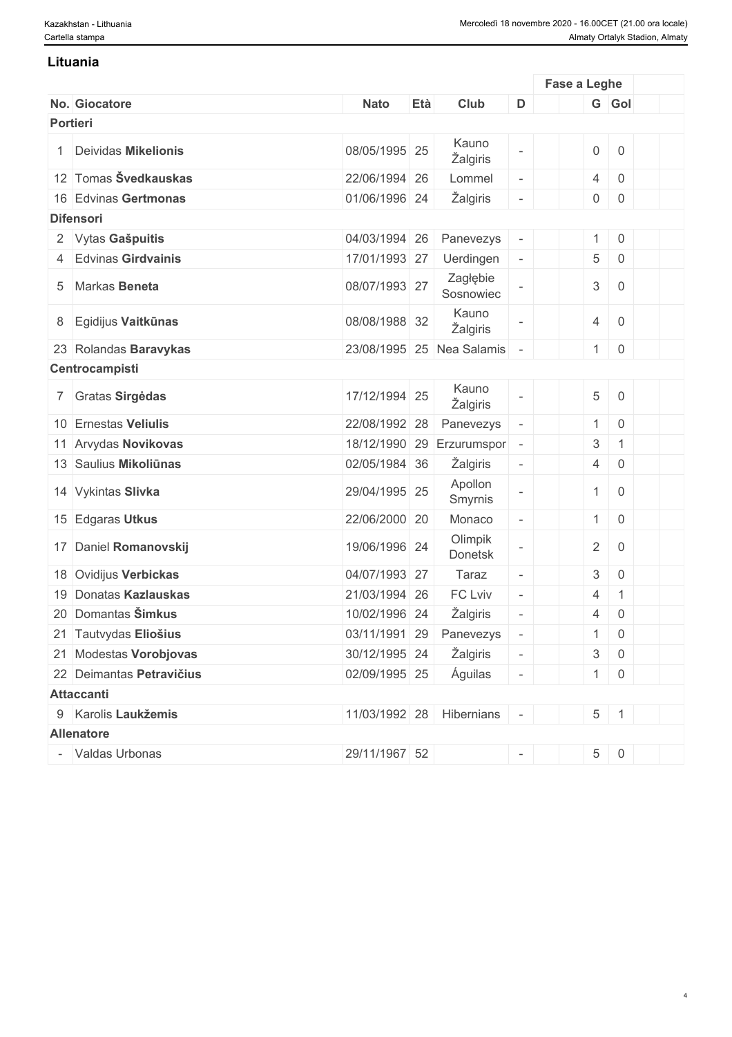#### **Lituania**

|          |                          |               |     |                           |                          | Fase a Leghe   |                  |  |
|----------|--------------------------|---------------|-----|---------------------------|--------------------------|----------------|------------------|--|
|          | No. Giocatore            | <b>Nato</b>   | Età | Club                      | D                        |                | G Gol            |  |
| Portieri |                          |               |     |                           |                          |                |                  |  |
|          | 1 Deividas Mikelionis    | 08/05/1995 25 |     | Kauno<br>Žalgiris         |                          |                | $0 \mid 0$       |  |
|          | 12 Tomas Švedkauskas     | 22/06/1994 26 |     | Lommel                    | $\Box$                   | $\overline{4}$ | $\mathsf 0$      |  |
|          | 16 Edvinas Gertmonas     | 01/06/1996 24 |     | Žalgiris                  | $\overline{\phantom{a}}$ |                | $0 \mid 0$       |  |
|          | <b>Difensori</b>         |               |     |                           |                          |                |                  |  |
|          | 2 Vytas Gašpuitis        | 04/03/1994 26 |     | Panevezys                 | $\overline{\phantom{a}}$ |                | $1 \ 0$          |  |
|          | 4 Edvinas Girdvainis     | 17/01/1993 27 |     | Uerdingen                 | $\blacksquare$           |                | $5 \mid 0$       |  |
|          | 5 Markas Beneta          | 08/07/1993 27 |     | Zagłębie<br>Sosnowiec     |                          | $\mathbf{3}$   | $\overline{0}$   |  |
|          | 8 Egidijus Vaitkūnas     | 08/08/1988 32 |     | Kauno<br>Žalgiris         |                          | $\overline{4}$ | $\mathsf 0$      |  |
|          | 23 Rolandas Baravykas    |               |     | 23/08/1995 25 Nea Salamis |                          | 1              | $\boldsymbol{0}$ |  |
|          | Centrocampisti           |               |     |                           |                          |                |                  |  |
|          | 7 Gratas Sirgėdas        | 17/12/1994 25 |     | Kauno<br>Žalgiris         |                          |                | $5\quad 0$       |  |
|          | 10 Ernestas Veliulis     | 22/08/1992 28 |     | Panevezys                 | $\overline{a}$           | 1              | $\overline{0}$   |  |
|          | 11 Arvydas Novikovas     | 18/12/1990 29 |     | Erzurumspor -             |                          | 3              | $\mathbf{1}$     |  |
|          | 13 Saulius Mikoliūnas    | 02/05/1984 36 |     | Žalgiris                  | $\overline{\phantom{a}}$ | 4              | $\overline{0}$   |  |
|          | 14 Vykintas Slivka       | 29/04/1995 25 |     | Apollon<br>Smyrnis        |                          | 1              | $\mathsf 0$      |  |
|          | 15 Edgaras Utkus         | 22/06/2000 20 |     | Monaco                    | ÷,                       | 1              | $\,0\,$          |  |
|          | 17 Daniel Romanovskij    | 19/06/1996 24 |     | Olimpik<br>Donetsk        |                          | $\overline{2}$ | $\mathsf 0$      |  |
|          | 18 Ovidijus Verbickas    | 04/07/1993 27 |     | Taraz                     | $\Box$                   | 3 <sup>1</sup> | $\overline{0}$   |  |
|          | 19 Donatas Kazlauskas    | 21/03/1994 26 |     | FC Lviv                   | $\overline{\phantom{a}}$ | $\overline{4}$ | $\mathbf{1}$     |  |
|          | 20 Domantas Šimkus       | 10/02/1996 24 |     | Žalgiris                  | $\overline{\phantom{a}}$ | $\overline{4}$ | $\overline{0}$   |  |
|          | 21 Tautvydas Eliošius    | 03/11/1991 29 |     | Panevezys                 | $\overline{\phantom{a}}$ |                | $\overline{0}$   |  |
|          | 21 Modestas Vorobjovas   | 30/12/1995 24 |     | Žalgiris                  | $\blacksquare$           |                | $3 \mid 0$       |  |
|          | 22 Deimantas Petravičius | 02/09/1995 25 |     | Águilas                   | $\overline{\phantom{a}}$ |                | $1 \mid 0$       |  |
|          | <b>Attaccanti</b>        |               |     |                           |                          |                |                  |  |
|          | 9 Karolis Laukžemis      |               |     | 11/03/1992 28 Hibernians  | $\sim$                   |                | $5 \mid 1$       |  |
|          | <b>Allenatore</b>        |               |     |                           |                          |                |                  |  |
|          | - Valdas Urbonas         | 29/11/1967 52 |     |                           | $\sim$                   |                | $5 \ 0$          |  |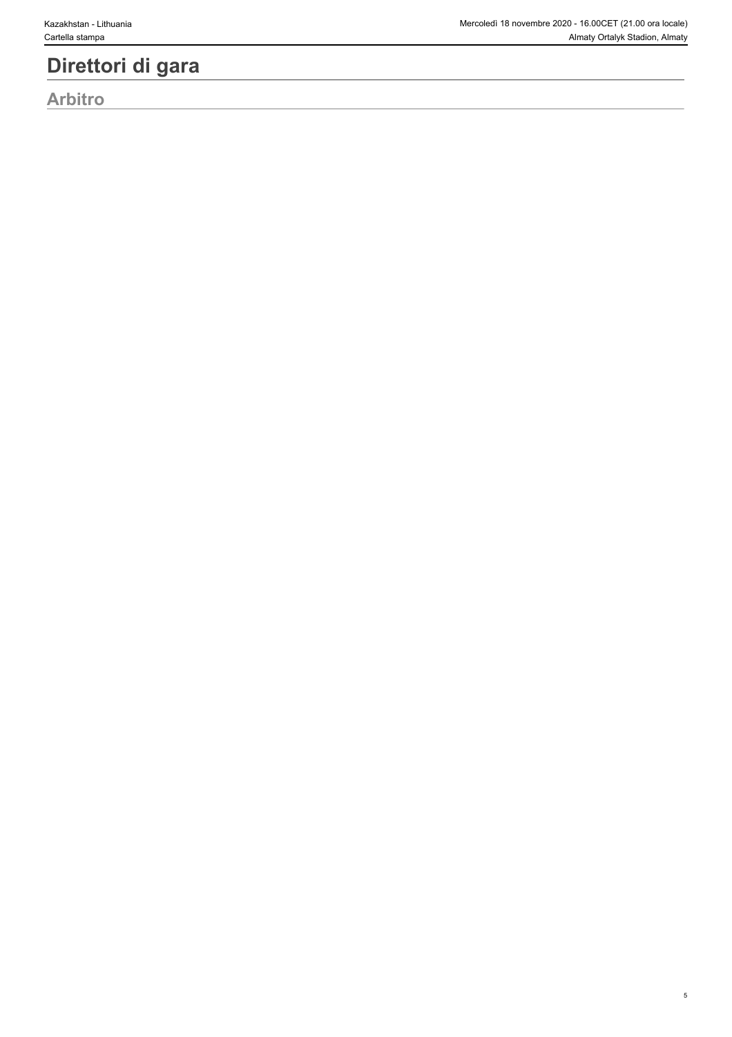# **Direttori di gara**

**Arbitro**

5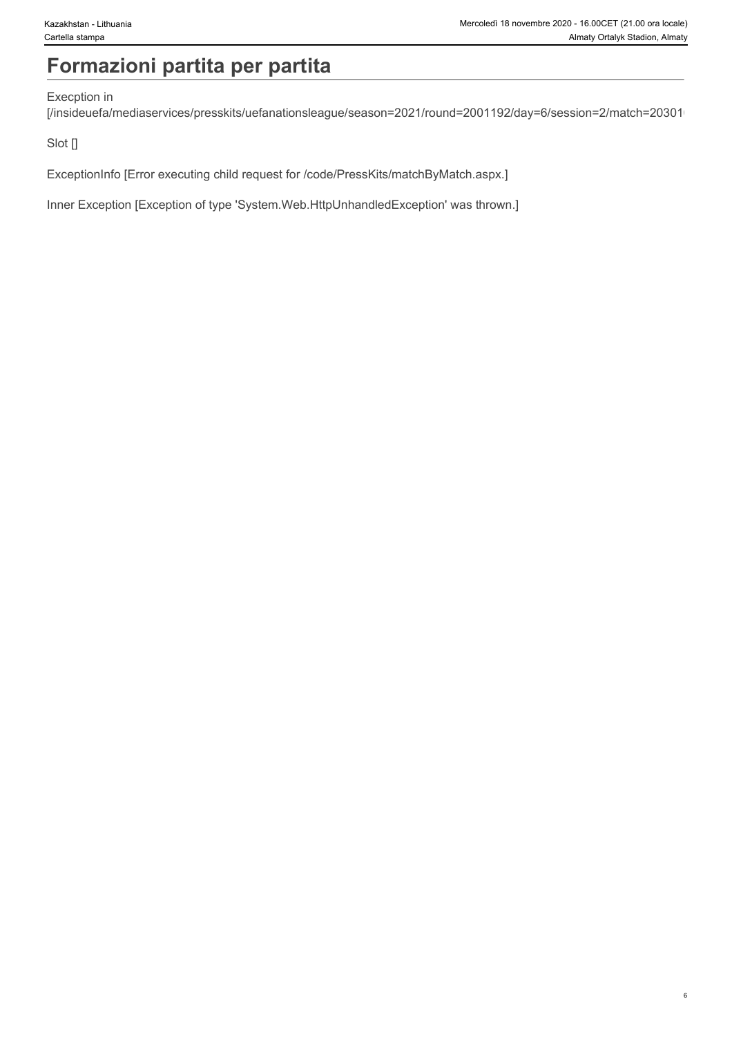# **Formazioni partita per partita**

#### Execption in

[/insideuefa/mediaservices/presskits/uefanationsleague/season=2021/round=2001192/day=6/session=2/match=20301/

Slot []

ExceptionInfo [Error executing child request for /code/PressKits/matchByMatch.aspx.]

Inner Exception [Exception of type 'System.Web.HttpUnhandledException' was thrown.]